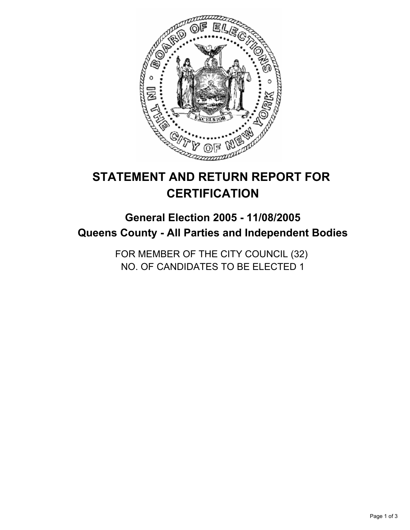

# **STATEMENT AND RETURN REPORT FOR CERTIFICATION**

# **General Election 2005 - 11/08/2005 Queens County - All Parties and Independent Bodies**

FOR MEMBER OF THE CITY COUNCIL (32) NO. OF CANDIDATES TO BE ELECTED 1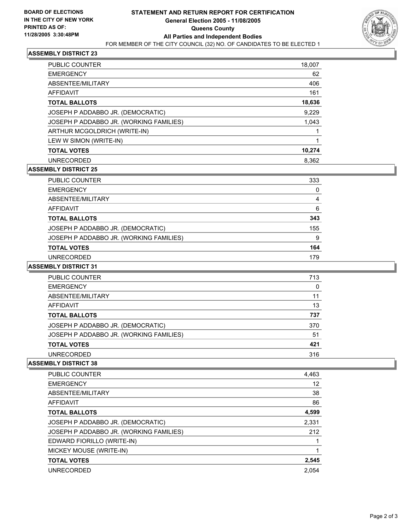

# **ASSEMBLY DISTRICT 23**

| <b>PUBLIC COUNTER</b>                   | 18,007 |
|-----------------------------------------|--------|
| <b>EMERGENCY</b>                        | 62     |
| ABSENTEE/MILITARY                       | 406    |
| AFFIDAVIT                               | 161    |
| <b>TOTAL BALLOTS</b>                    | 18,636 |
| JOSEPH P ADDABBO JR. (DEMOCRATIC)       | 9,229  |
| JOSEPH P ADDABBO JR. (WORKING FAMILIES) | 1,043  |
| ARTHUR MCGOLDRICH (WRITE-IN)            |        |
| LEW W SIMON (WRITE-IN)                  |        |
| <b>TOTAL VOTES</b>                      | 10,274 |
| <b>UNRECORDED</b>                       | 8.362  |

# **ASSEMBLY DISTRICT 25**

| <b>PUBLIC COUNTER</b>                   | 333 |
|-----------------------------------------|-----|
| <b>EMERGENCY</b>                        |     |
| ABSENTEE/MILITARY                       |     |
| AFFIDAVIT                               | 6   |
| <b>TOTAL BALLOTS</b>                    | 343 |
| JOSEPH P ADDABBO JR. (DEMOCRATIC)       | 155 |
| JOSEPH P ADDABBO JR. (WORKING FAMILIES) | 9   |
| <b>TOTAL VOTES</b>                      | 164 |
| UNRECORDED                              | 179 |

#### **ASSEMBLY DISTRICT 31**

| <b>PUBLIC COUNTER</b>                   | 713 |
|-----------------------------------------|-----|
| <b>EMERGENCY</b>                        |     |
| ABSENTEE/MILITARY                       | 11  |
| AFFIDAVIT                               | 13  |
| <b>TOTAL BALLOTS</b>                    | 737 |
| JOSEPH P ADDABBO JR. (DEMOCRATIC)       | 370 |
| JOSEPH P ADDABBO JR. (WORKING FAMILIES) | 51  |
| <b>TOTAL VOTES</b>                      | 421 |
| UNRECORDED                              | 316 |

#### **ASSEMBLY DISTRICT 38**

| PUBLIC COUNTER                          | 4,463 |
|-----------------------------------------|-------|
| <b>EMERGENCY</b>                        | 12    |
| ABSENTEE/MILITARY                       | 38    |
| <b>AFFIDAVIT</b>                        | 86    |
| <b>TOTAL BALLOTS</b>                    | 4,599 |
| JOSEPH P ADDABBO JR. (DEMOCRATIC)       | 2,331 |
| JOSEPH P ADDABBO JR. (WORKING FAMILIES) | 212   |
| EDWARD FIORILLO (WRITE-IN)              |       |
| MICKEY MOUSE (WRITE-IN)                 |       |
| <b>TOTAL VOTES</b>                      | 2,545 |
| <b>UNRECORDED</b>                       | 2.054 |